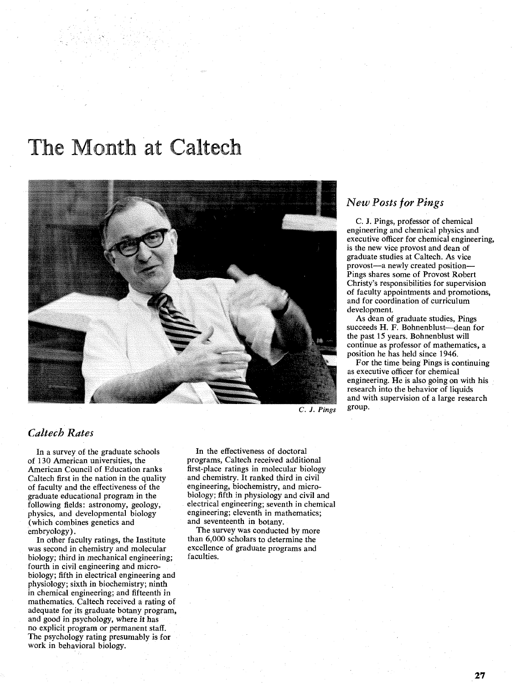# The Month at Caltech



## *New Posts for Pings*

C. J. Pings, professor of chemical engineering and chemical physics and executive officer for chemical engineering, is the new vice provost and dean of graduate studies at Caltech. As vice provost-a newly created position-Pings shares some of Provost Robert Christy's responsibilities for supervision of faculty appointments and promotions, and for coordination of curriculum development.

As dean of graduate studies, Pings succeeds H. F. Bohnenblust-dean for the past 15 years. Bohnenblust will continue as professor of mathematics, a position he has held since 1946.

For the time being Pings is continuing as executive officer for chemical engineering. He is also going on with his research into the behavior of liquids and with supervision of a large research group.

### *Caltecb Rates*

In a survey of the graduate schools of 130 American universities, the American Council of Education ranks Caltech first in the nation in the quality of faculty and the effectiveness of the graduate educational program in the following fields: astronomy, geology, physics, and developmental biology (which combines genetics and embryology).

In other faculty ratings, the Institute was second in chemistry and molecular biology; third in mechanical engineering; fourth in civil engineering and microbiology; fifth in electrical engineering and physiology; sixth in biochemistry; ninth in chemical engineering; and fifteenth in mathematics. Caltech received a rating of adequate for its graduate botany program, and good in psychology, where it has no explicit program or permanent staff. The psychology rating presumably is for work in behavioral biology.

In the effectiveness of doctoral programs, Caltech received additional first-place ratings in molecular biology and chemistry. It ranked third in civil engineering, biochemistry, and microbiology; fifth in physiology and civil and electrical engineering; seventh in chemical engineering; eleventh in mathematics; and seventeenth in botany.

The survey was conducted by more than 6,000 scholars to determine the excellence of graduate programs and faculties.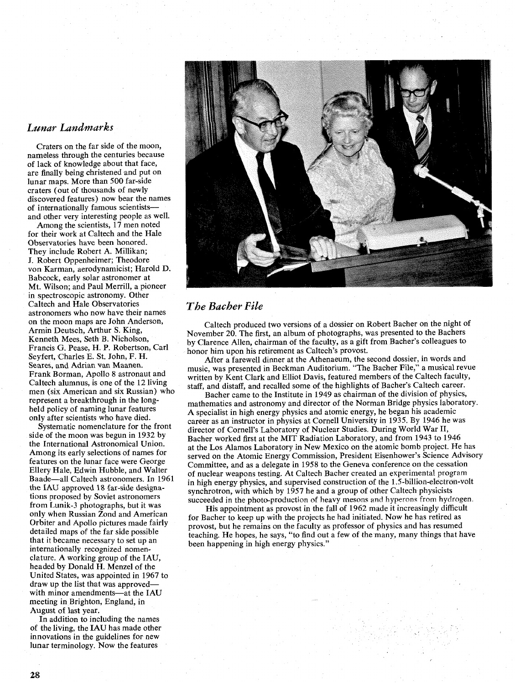#### *Lunar Landmarks*

Craters on the far side of the moon, nameless through the centuries because of lack of knowledge about that face, are finally being christened and put on lunar maps. More than 500 far-side craters (out of thousands of newly discovered features) now bear the names of internationally famous scientistsand other very interesting people as well.

Among the scientists, 17 men noted for their work at Caltech and the Hale Observatories have been honored. They include Robert A. Millikan; J. Robert Oppenheimer; Theodore von Karman, aerodynamicist; Harold D. Babcock, early solar astronomer at Mt. Wilson; and Paul Merrill, a pioneer in spectroscopic astronomy. Other Caltech and Hale Observatories astronomers who now have their names on the moon maps are John Anderson, Armin Deutsch, Arthur S. King, Kenneth Mees, Seth B. Nicholson, Francis G. Pease, H. P. Robertson, Carl Seyfert, Charles E. St. John, F. H. Scares, **and** Adrian van Maanen. Frank Borman, Apollo 8 astronaut and Caltech alumnus, is one of the 12 living men (six American and six Russian) who represent a breakthrough in the longheld policy of naming lunar features only after scientists who have died.

Systematic nomenclature for the front side of the moon was begun in 1932 by the International Astronomical Union. Among its early selections of names for features on the lunar face were George Ellery Hale, Edwin Hubble, and Walter Baade-all Caltech astronomers. In 1961 the IAU approved 18 far-side designations proposed by Soviet astronomers from Lunik-3 photographs, but it was only when Russian Zond and American Orbiter and Apollo pictures made fairly detailed maps of the far side possible that it became necessary to set up an internationally recognized nomenclature. **A** working group of the IAU, headed by Donald H. Menzel of the United States, was appointed in 1967 to draw up the list that was approvedwith minor amendments-at the IAU meeting in Brighton, England, in August of last year.

In addition to including the names of the living, the IAU has made other innovations in the guidelines for new lunar terminology. Now the features



## *The Bacher File*

Caltech produced two versions of a dossier on Robert Bacher on the night of November 20. The first, an album of photographs, was presented to the Bachers by Clarence Allen, chairman of the faculty, as a gift from Bacher's colleagues to honor him upon his retirement as Caltech's provost.

After a farewell dinner at the Athenaeum, the second dossier, in words and music, was presented in Beckman Auditorium. "The Bacher File," a musical revue written by Kent Clark and Elliot Davis, featured members of the Caltech faculty, staff, and distaff, and recalled some of the highlights of Bacher's Caltech career.

Bacher came to the Institute in 1949 as chairman of the division of physics, mathematics and astronomy and director of the Norman Bridge physics laboratory. **A** specialist in high energy physics and atomic energy, he began his academic career as an instructor in physics at Cornell University in 1935. By 1946 he was director of Cornell's Laboratory of Nuclear Studies. During World War 11, Bacher worked first at the MIT Radiation Laboratory, and from 1943 to 1946 at the Los Alamos Laboratory in New Mexico on the atomic bomb project. He has served on the Atomic Energy Commission, President Eisenhower's Science Advisory Committee, and as a delegate in 1958 to the Geneva conference on the cessation of nuclear weapons testing. At Caltech Bacher created an experimental program in high energy physics, and supervised construction of the 1.5-billion-electron-volt synchrotron, with which by 1957 he and a group of other Caltech physicists succeeded in the photo-production of heavy mesons and hyperons from hydrogen.

His appointment as provost in the fall of 1962 made it increasingly difficult for Bacher to keep up with the projects he had initiated. Now he has retired as provost, but he remains on the faculty as professor of physics and has resumed teaching. He hopes, he says, "to find out a few of the many, many things that have been happening in high energy physics."